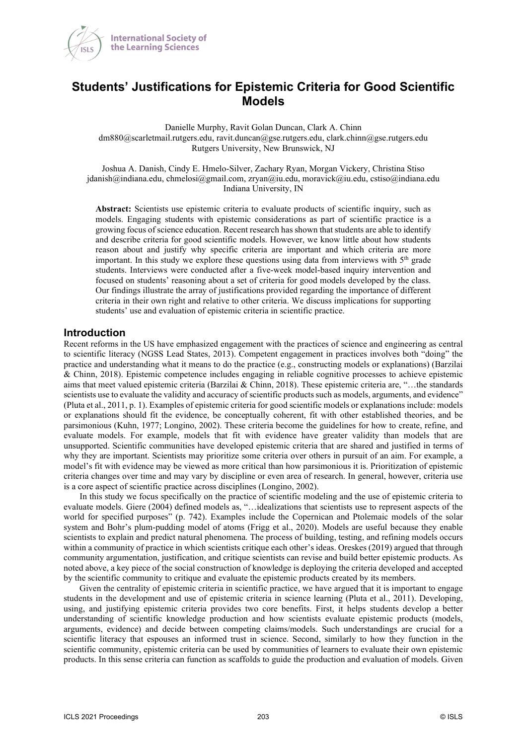

# **Students' Justifications for Epistemic Criteria for Good Scientific Models**

Danielle Murphy, Ravit Golan Duncan, Clark A. Chinn dm880@scarletmail.rutgers.edu, ravit.duncan@gse.rutgers.edu, clark.chinn@gse.rutgers.edu Rutgers University, New Brunswick, NJ

Joshua A. Danish, Cindy E. Hmelo-Silver, Zachary Ryan, Morgan Vickery, Christina Stiso jdanish@indiana.edu, chmelosi@gmail.com, zryan@iu.edu, moravick@iu.edu, cstiso@indiana.edu Indiana University, IN

**Abstract:** Scientists use epistemic criteria to evaluate products of scientific inquiry, such as models. Engaging students with epistemic considerations as part of scientific practice is a growing focus of science education. Recent research has shown that students are able to identify and describe criteria for good scientific models. However, we know little about how students reason about and justify why specific criteria are important and which criteria are more important. In this study we explore these questions using data from interviews with  $5<sup>th</sup>$  grade students. Interviews were conducted after a five-week model-based inquiry intervention and focused on students' reasoning about a set of criteria for good models developed by the class. Our findings illustrate the array of justifications provided regarding the importance of different criteria in their own right and relative to other criteria. We discuss implications for supporting students' use and evaluation of epistemic criteria in scientific practice.

### **Introduction**

Recent reforms in the US have emphasized engagement with the practices of science and engineering as central to scientific literacy (NGSS Lead States, 2013). Competent engagement in practices involves both "doing" the practice and understanding what it means to do the practice (e.g., constructing models or explanations) (Barzilai & Chinn, 2018). Epistemic competence includes engaging in reliable cognitive processes to achieve epistemic aims that meet valued epistemic criteria (Barzilai & Chinn, 2018). These epistemic criteria are, "…the standards scientists use to evaluate the validity and accuracy of scientific products such as models, arguments, and evidence" (Pluta et al., 2011, p. 1). Examples of epistemic criteria for good scientific models or explanations include: models or explanations should fit the evidence, be conceptually coherent, fit with other established theories, and be parsimonious (Kuhn, 1977; Longino, 2002). These criteria become the guidelines for how to create, refine, and evaluate models. For example, models that fit with evidence have greater validity than models that are unsupported. Scientific communities have developed epistemic criteria that are shared and justified in terms of why they are important. Scientists may prioritize some criteria over others in pursuit of an aim. For example, a model's fit with evidence may be viewed as more critical than how parsimonious it is. Prioritization of epistemic criteria changes over time and may vary by discipline or even area of research. In general, however, criteria use is a core aspect of scientific practice across disciplines (Longino, 2002).

In this study we focus specifically on the practice of scientific modeling and the use of epistemic criteria to evaluate models. Giere (2004) defined models as, "…idealizations that scientists use to represent aspects of the world for specified purposes" (p. 742). Examples include the Copernican and Ptolemaic models of the solar system and Bohr's plum-pudding model of atoms (Frigg et al., 2020). Models are useful because they enable scientists to explain and predict natural phenomena. The process of building, testing, and refining models occurs within a community of practice in which scientists critique each other's ideas. Oreskes (2019) argued that through community argumentation, justification, and critique scientists can revise and build better epistemic products. As noted above, a key piece of the social construction of knowledge is deploying the criteria developed and accepted by the scientific community to critique and evaluate the epistemic products created by its members.

Given the centrality of epistemic criteria in scientific practice, we have argued that it is important to engage students in the development and use of epistemic criteria in science learning (Pluta et al., 2011). Developing, using, and justifying epistemic criteria provides two core benefits. First, it helps students develop a better understanding of scientific knowledge production and how scientists evaluate epistemic products (models, arguments, evidence) and decide between competing claims/models. Such understandings are crucial for a scientific literacy that espouses an informed trust in science. Second, similarly to how they function in the scientific community, epistemic criteria can be used by communities of learners to evaluate their own epistemic products. In this sense criteria can function as scaffolds to guide the production and evaluation of models. Given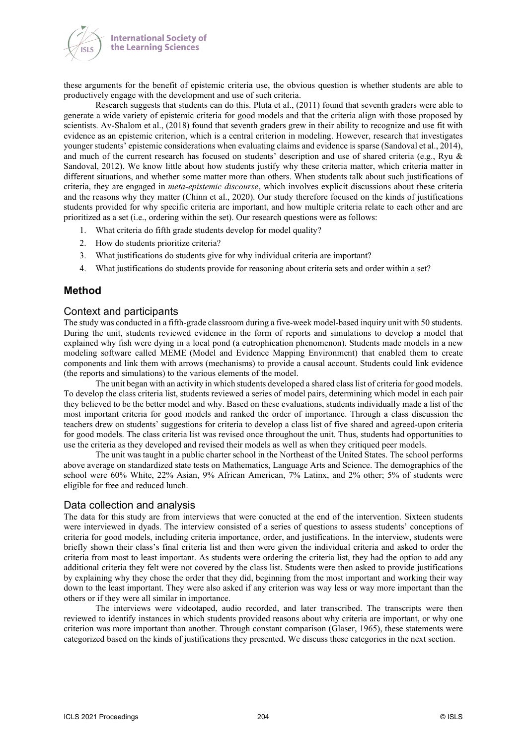

these arguments for the benefit of epistemic criteria use, the obvious question is whether students are able to productively engage with the development and use of such criteria.

Research suggests that students can do this. Pluta et al., (2011) found that seventh graders were able to generate a wide variety of epistemic criteria for good models and that the criteria align with those proposed by scientists. Av-Shalom et al., (2018) found that seventh graders grew in their ability to recognize and use fit with evidence as an epistemic criterion, which is a central criterion in modeling. However, research that investigates younger students' epistemic considerations when evaluating claims and evidence is sparse (Sandoval et al., 2014), and much of the current research has focused on students' description and use of shared criteria (e.g., Ryu & Sandoval, 2012). We know little about how students justify why these criteria matter, which criteria matter in different situations, and whether some matter more than others. When students talk about such justifications of criteria, they are engaged in *meta-epistemic discourse*, which involves explicit discussions about these criteria and the reasons why they matter (Chinn et al., 2020). Our study therefore focused on the kinds of justifications students provided for why specific criteria are important, and how multiple criteria relate to each other and are prioritized as a set (i.e., ordering within the set). Our research questions were as follows:

- 1. What criteria do fifth grade students develop for model quality?
- 2. How do students prioritize criteria?
- 3. What justifications do students give for why individual criteria are important?
- 4. What justifications do students provide for reasoning about criteria sets and order within a set?

#### **Method**

#### Context and participants

The study was conducted in a fifth-grade classroom during a five-week model-based inquiry unit with 50 students. During the unit, students reviewed evidence in the form of reports and simulations to develop a model that explained why fish were dying in a local pond (a eutrophication phenomenon). Students made models in a new modeling software called MEME (Model and Evidence Mapping Environment) that enabled them to create components and link them with arrows (mechanisms) to provide a causal account. Students could link evidence (the reports and simulations) to the various elements of the model.

The unit began with an activity in which students developed a shared class list of criteria for good models. To develop the class criteria list, students reviewed a series of model pairs, determining which model in each pair they believed to be the better model and why. Based on these evaluations, students individually made a list of the most important criteria for good models and ranked the order of importance. Through a class discussion the teachers drew on students' suggestions for criteria to develop a class list of five shared and agreed-upon criteria for good models. The class criteria list was revised once throughout the unit. Thus, students had opportunities to use the criteria as they developed and revised their models as well as when they critiqued peer models.

The unit was taught in a public charter school in the Northeast of the United States. The school performs above average on standardized state tests on Mathematics, Language Arts and Science. The demographics of the school were 60% White, 22% Asian, 9% African American, 7% Latinx, and 2% other; 5% of students were eligible for free and reduced lunch.

#### Data collection and analysis

The data for this study are from interviews that were conucted at the end of the intervention. Sixteen students were interviewed in dyads. The interview consisted of a series of questions to assess students' conceptions of criteria for good models, including criteria importance, order, and justifications. In the interview, students were briefly shown their class's final criteria list and then were given the individual criteria and asked to order the criteria from most to least important. As students were ordering the criteria list, they had the option to add any additional criteria they felt were not covered by the class list. Students were then asked to provide justifications by explaining why they chose the order that they did, beginning from the most important and working their way down to the least important. They were also asked if any criterion was way less or way more important than the others or if they were all similar in importance.

The interviews were videotaped, audio recorded, and later transcribed. The transcripts were then reviewed to identify instances in which students provided reasons about why criteria are important, or why one criterion was more important than another. Through constant comparison (Glaser, 1965), these statements were categorized based on the kinds of justifications they presented. We discuss these categories in the next section.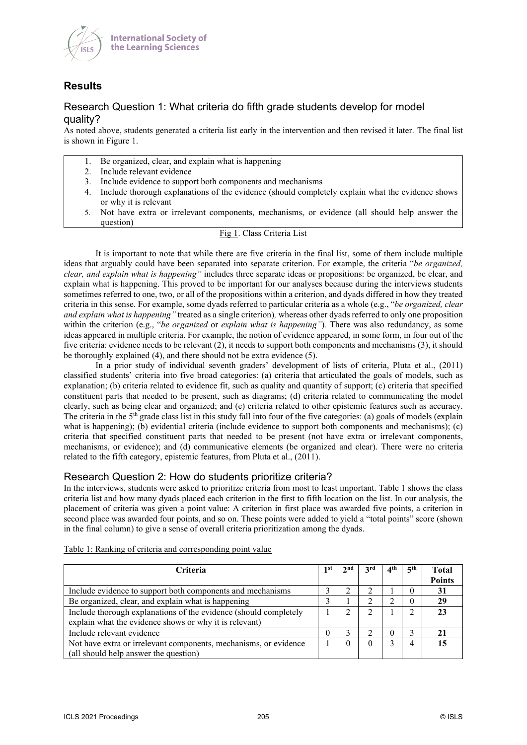

# **Results**

## Research Question 1: What criteria do fifth grade students develop for model quality?

As noted above, students generated a criteria list early in the intervention and then revised it later. The final list is shown in Figure 1.

- 1. Be organized, clear, and explain what is happening
- 2. Include relevant evidence
- 3. Include evidence to support both components and mechanisms
- 4. Include thorough explanations of the evidence (should completely explain what the evidence shows or why it is relevant
- 5. Not have extra or irrelevant components, mechanisms, or evidence (all should help answer the question)

#### Fig 1. Class Criteria List

It is important to note that while there are five criteria in the final list, some of them include multiple ideas that arguably could have been separated into separate criterion. For example, the criteria "*be organized, clear, and explain what is happening"* includes three separate ideas or propositions: be organized, be clear, and explain what is happening. This proved to be important for our analyses because during the interviews students sometimes referred to one, two, or all of the propositions within a criterion, and dyads differed in how they treated criteria in this sense. For example, some dyads referred to particular criteria as a whole (e.g., "*be organized, clear and explain what is happening"* treated as a single criterion)*,* whereas other dyads referred to only one proposition within the criterion (e.g., "*be organized* or *explain what is happening"*)*.* There was also redundancy, as some ideas appeared in multiple criteria. For example, the notion of evidence appeared, in some form, in four out of the five criteria: evidence needs to be relevant (2), it needs to support both components and mechanisms (3), it should be thoroughly explained (4), and there should not be extra evidence (5).

In a prior study of individual seventh graders' development of lists of criteria, Pluta et al., (2011) classified students' criteria into five broad categories: (a) criteria that articulated the goals of models, such as explanation; (b) criteria related to evidence fit, such as quality and quantity of support; (c) criteria that specified constituent parts that needed to be present, such as diagrams; (d) criteria related to communicating the model clearly, such as being clear and organized; and (e) criteria related to other epistemic features such as accuracy. The criteria in the 5<sup>th</sup> grade class list in this study fall into four of the five categories: (a) goals of models (explain what is happening); (b) evidential criteria (include evidence to support both components and mechanisms); (c) criteria that specified constituent parts that needed to be present (not have extra or irrelevant components, mechanisms, or evidence); and (d) communicative elements (be organized and clear). There were no criteria related to the fifth category, epistemic features, from Pluta et al., (2011).

### Research Question 2: How do students prioritize criteria?

In the interviews, students were asked to prioritize criteria from most to least important. Table 1 shows the class criteria list and how many dyads placed each criterion in the first to fifth location on the list. In our analysis, the placement of criteria was given a point value: A criterion in first place was awarded five points, a criterion in second place was awarded four points, and so on. These points were added to yield a "total points" score (shown in the final column) to give a sense of overall criteria prioritization among the dyads.

| Criteria                                                         | l st | nd, | 2rd | 4 <sup>th</sup> | 5 <sup>th</sup> | <b>Total</b>  |
|------------------------------------------------------------------|------|-----|-----|-----------------|-----------------|---------------|
|                                                                  |      |     |     |                 |                 | <b>Points</b> |
| Include evidence to support both components and mechanisms       |      |     |     |                 | 0               | 31            |
| Be organized, clear, and explain what is happening               |      |     |     |                 | $\theta$        | 29            |
| Include thorough explanations of the evidence (should completely |      |     |     |                 |                 |               |
| explain what the evidence shows or why it is relevant)           |      |     |     |                 |                 |               |
| Include relevant evidence                                        |      |     |     | 0               |                 |               |
| Not have extra or irrelevant components, mechanisms, or evidence |      |     |     |                 |                 |               |
| (all should help answer the question)                            |      |     |     |                 |                 |               |

Table 1: Ranking of criteria and corresponding point value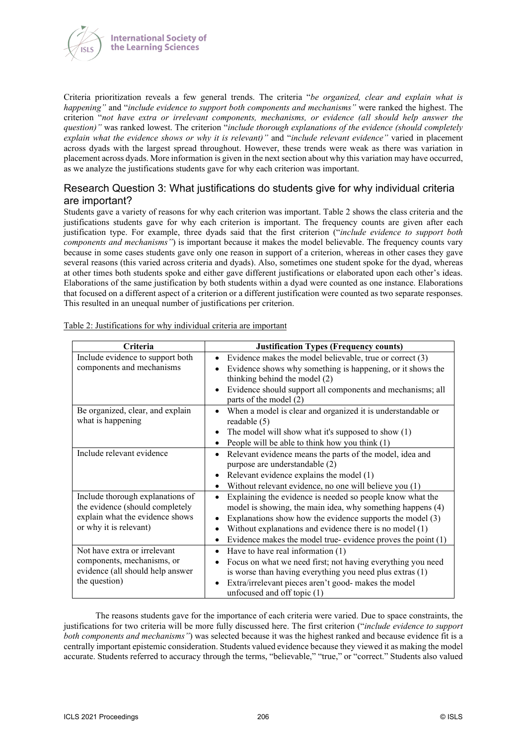

Criteria prioritization reveals a few general trends. The criteria "*be organized, clear and explain what is happening"* and "*include evidence to support both components and mechanisms"* were ranked the highest. The criterion "*not have extra or irrelevant components, mechanisms, or evidence (all should help answer the question)"* was ranked lowest. The criterion "*include thorough explanations of the evidence (should completely explain what the evidence shows or why it is relevant)"* and "*include relevant evidence"* varied in placement across dyads with the largest spread throughout. However, these trends were weak as there was variation in placement across dyads. More information is given in the next section about why this variation may have occurred, as we analyze the justifications students gave for why each criterion was important.

## Research Question 3: What justifications do students give for why individual criteria are important?

Students gave a variety of reasons for why each criterion was important. Table 2 shows the class criteria and the justifications students gave for why each criterion is important. The frequency counts are given after each justification type. For example, three dyads said that the first criterion ("*include evidence to support both components and mechanisms"*) is important because it makes the model believable. The frequency counts vary because in some cases students gave only one reason in support of a criterion, whereas in other cases they gave several reasons (this varied across criteria and dyads). Also, sometimes one student spoke for the dyad, whereas at other times both students spoke and either gave different justifications or elaborated upon each other's ideas. Elaborations of the same justification by both students within a dyad were counted as one instance. Elaborations that focused on a different aspect of a criterion or a different justification were counted as two separate responses. This resulted in an unequal number of justifications per criterion.

| Criteria                                                                                                                         | <b>Justification Types (Frequency counts)</b>                                                                                                                                                                                                                                                                                                                          |
|----------------------------------------------------------------------------------------------------------------------------------|------------------------------------------------------------------------------------------------------------------------------------------------------------------------------------------------------------------------------------------------------------------------------------------------------------------------------------------------------------------------|
| Include evidence to support both<br>components and mechanisms                                                                    | Evidence makes the model believable, true or correct (3)<br>$\bullet$<br>Evidence shows why something is happening, or it shows the<br>$\bullet$<br>thinking behind the model (2)<br>Evidence should support all components and mechanisms; all<br>$\bullet$<br>parts of the model (2)                                                                                 |
| Be organized, clear, and explain<br>what is happening                                                                            | When a model is clear and organized it is understandable or<br>$\bullet$<br>readable $(5)$<br>The model will show what it's supposed to show $(1)$<br>$\bullet$<br>People will be able to think how you think $(1)$<br>$\bullet$                                                                                                                                       |
| Include relevant evidence                                                                                                        | Relevant evidence means the parts of the model, idea and<br>$\bullet$<br>purpose are understandable (2)<br>Relevant evidence explains the model (1)<br>٠<br>Without relevant evidence, no one will believe you (1)<br>$\bullet$                                                                                                                                        |
| Include thorough explanations of<br>the evidence (should completely<br>explain what the evidence shows<br>or why it is relevant) | Explaining the evidence is needed so people know what the<br>$\bullet$<br>model is showing, the main idea, why something happens (4)<br>Explanations show how the evidence supports the model (3)<br>$\bullet$<br>Without explanations and evidence there is no model $(1)$<br>$\bullet$<br>Evidence makes the model true-evidence proves the point $(1)$<br>$\bullet$ |
| Not have extra or irrelevant<br>components, mechanisms, or<br>evidence (all should help answer<br>the question)                  | Have to have real information $(1)$<br>$\bullet$<br>Focus on what we need first; not having everything you need<br>$\bullet$<br>is worse than having everything you need plus extras (1)<br>Extra/irrelevant pieces aren't good- makes the model<br>$\bullet$<br>unfocused and off topic $(1)$                                                                         |

Table 2: Justifications for why individual criteria are important

The reasons students gave for the importance of each criteria were varied. Due to space constraints, the justifications for two criteria will be more fully discussed here. The first criterion ("*include evidence to support both components and mechanisms"*) was selected because it was the highest ranked and because evidence fit is a centrally important epistemic consideration. Students valued evidence because they viewed it as making the model accurate. Students referred to accuracy through the terms, "believable," "true," or "correct." Students also valued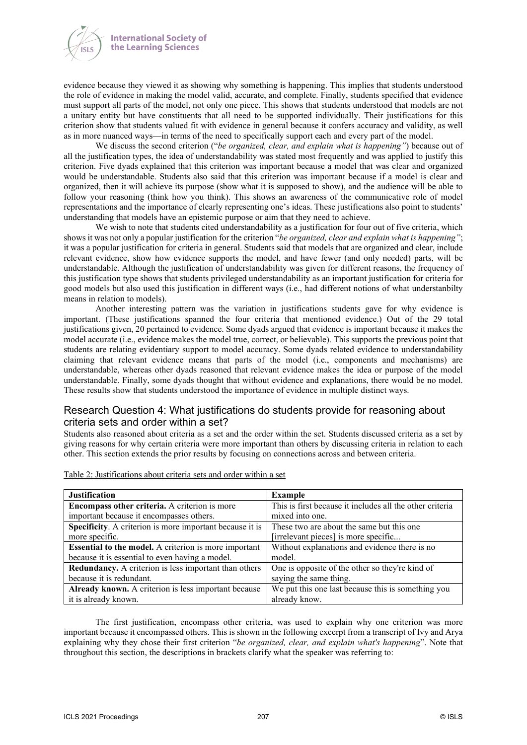

evidence because they viewed it as showing why something is happening. This implies that students understood the role of evidence in making the model valid, accurate, and complete. Finally, students specified that evidence must support all parts of the model, not only one piece. This shows that students understood that models are not a unitary entity but have constituents that all need to be supported individually. Their justifications for this criterion show that students valued fit with evidence in general because it confers accuracy and validity, as well as in more nuanced ways—in terms of the need to specifically support each and every part of the model.

We discuss the second criterion ("*be organized, clear, and explain what is happening"*) because out of all the justification types, the idea of understandability was stated most frequently and was applied to justify this criterion. Five dyads explained that this criterion was important because a model that was clear and organized would be understandable. Students also said that this criterion was important because if a model is clear and organized, then it will achieve its purpose (show what it is supposed to show), and the audience will be able to follow your reasoning (think how you think). This shows an awareness of the communicative role of model representations and the importance of clearly representing one's ideas. These justifications also point to students' understanding that models have an epistemic purpose or aim that they need to achieve.

We wish to note that students cited understandability as a justification for four out of five criteria, which shows it was not only a popular justification for the criterion "*be organized, clear and explain what is happening"*; it was a popular justification for criteria in general. Students said that models that are organized and clear, include relevant evidence, show how evidence supports the model, and have fewer (and only needed) parts, will be understandable. Although the justification of understandability was given for different reasons, the frequency of this justification type shows that students privileged understandability as an important justification for criteria for good models but also used this justification in different ways (i.e., had different notions of what understanbilty means in relation to models).

Another interesting pattern was the variation in justifications students gave for why evidence is important. (These justifications spanned the four criteria that mentioned evidence.) Out of the 29 total justifications given, 20 pertained to evidence. Some dyads argued that evidence is important because it makes the model accurate (i.e., evidence makes the model true, correct, or believable). This supports the previous point that students are relating evidentiary support to model accuracy. Some dyads related evidence to understandability claiming that relevant evidence means that parts of the model (i.e., components and mechanisms) are understandable, whereas other dyads reasoned that relevant evidence makes the idea or purpose of the model understandable. Finally, some dyads thought that without evidence and explanations, there would be no model. These results show that students understood the importance of evidence in multiple distinct ways.

## Research Question 4: What justifications do students provide for reasoning about criteria sets and order within a set?

Students also reasoned about criteria as a set and the order within the set. Students discussed criteria as a set by giving reasons for why certain criteria were more important than others by discussing criteria in relation to each other. This section extends the prior results by focusing on connections across and between criteria.

| <b>Justification</b>                                         | <b>Example</b>                                           |
|--------------------------------------------------------------|----------------------------------------------------------|
| Encompass other criteria. A criterion is more                | This is first because it includes all the other criteria |
| important because it encompasses others.                     | mixed into one.                                          |
| Specificity. A criterion is more important because it is     | These two are about the same but this one                |
| more specific.                                               | [irrelevant pieces] is more specific                     |
| <b>Essential to the model.</b> A criterion is more important | Without explanations and evidence there is no            |
| because it is essential to even having a model.              | model.                                                   |
| Redundancy. A criterion is less important than others        | One is opposite of the other so they're kind of          |
| because it is redundant.                                     | saying the same thing.                                   |
| Already known. A criterion is less important because         | We put this one last because this is something you       |
| it is already known.                                         | already know.                                            |

Table 2: Justifications about criteria sets and order within a set

The first justification, encompass other criteria, was used to explain why one criterion was more important because it encompassed others. This is shown in the following excerpt from a transcript of Ivy and Arya explaining why they chose their first criterion "*be organized, clear, and explain what's happening*". Note that throughout this section, the descriptions in brackets clarify what the speaker was referring to: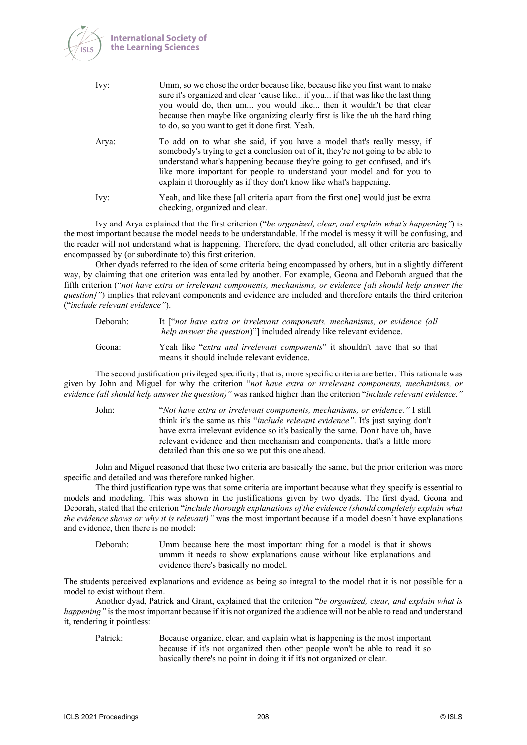

| Ivy:  | Umm, so we chose the order because like, because like you first want to make<br>sure it's organized and clear 'cause like if you if that was like the last thing<br>you would do, then um you would like then it wouldn't be that clear<br>because then maybe like organizing clearly first is like the uh the hard thing<br>to do, so you want to get it done first. Yeah.                |
|-------|--------------------------------------------------------------------------------------------------------------------------------------------------------------------------------------------------------------------------------------------------------------------------------------------------------------------------------------------------------------------------------------------|
| Arya: | To add on to what she said, if you have a model that's really messy, if<br>somebody's trying to get a conclusion out of it, they're not going to be able to<br>understand what's happening because they're going to get confused, and it's<br>like more important for people to understand your model and for you to<br>explain it thoroughly as if they don't know like what's happening. |
| Ivy:  | Yeah, and like these [all criteria apart from the first one] would just be extra<br>checking, organized and clear.                                                                                                                                                                                                                                                                         |

Ivy and Arya explained that the first criterion ("*be organized, clear, and explain what's happening"*) is the most important because the model needs to be understandable. If the model is messy it will be confusing, and the reader will not understand what is happening. Therefore, the dyad concluded, all other criteria are basically encompassed by (or subordinate to) this first criterion.

Other dyads referred to the idea of some criteria being encompassed by others, but in a slightly different way, by claiming that one criterion was entailed by another. For example, Geona and Deborah argued that the fifth criterion ("*not have extra or irrelevant components, mechanisms, or evidence [all should help answer the question]"*) implies that relevant components and evidence are included and therefore entails the third criterion ("*include relevant evidence"*).

| Deborah: | It ["not have extra or irrelevant components, mechanisms, or evidence (all<br><i>help answer the question</i> )" included already like relevant evidence. |
|----------|-----------------------------------------------------------------------------------------------------------------------------------------------------------|
| Geona:   | Yeah like "extra and irrelevant components" it shouldn't have that so that<br>means it should include relevant evidence.                                  |

The second justification privileged specificity; that is, more specific criteria are better. This rationale was given by John and Miguel for why the criterion "*not have extra or irrelevant components, mechanisms, or evidence (all should help answer the question)"* was ranked higher than the criterion "*include relevant evidence."*

John: "*Not have extra or irrelevant components, mechanisms, or evidence."* I still think it's the same as this "*include relevant evidence"*. It's just saying don't have extra irrelevant evidence so it's basically the same. Don't have uh, have relevant evidence and then mechanism and components, that's a little more detailed than this one so we put this one ahead.

John and Miguel reasoned that these two criteria are basically the same, but the prior criterion was more specific and detailed and was therefore ranked higher.

The third justification type was that some criteria are important because what they specify is essential to models and modeling. This was shown in the justifications given by two dyads. The first dyad, Geona and Deborah, stated that the criterion "*include thorough explanations of the evidence (should completely explain what the evidence shows or why it is relevant)"* was the most important because if a model doesn't have explanations and evidence, then there is no model:

Deborah: Umm because here the most important thing for a model is that it shows ummm it needs to show explanations cause without like explanations and evidence there's basically no model.

The students perceived explanations and evidence as being so integral to the model that it is not possible for a model to exist without them.

Another dyad, Patrick and Grant, explained that the criterion "*be organized, clear, and explain what is happening*" is the most important because if it is not organized the audience will not be able to read and understand it, rendering it pointless:

Patrick: Because organize, clear, and explain what is happening is the most important because if it's not organized then other people won't be able to read it so basically there's no point in doing it if it's not organized or clear.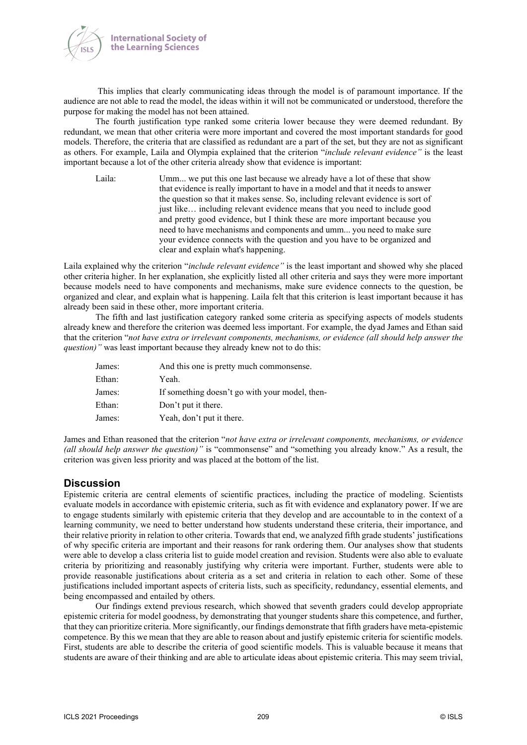

This implies that clearly communicating ideas through the model is of paramount importance. If the audience are not able to read the model, the ideas within it will not be communicated or understood, therefore the purpose for making the model has not been attained.

The fourth justification type ranked some criteria lower because they were deemed redundant. By redundant, we mean that other criteria were more important and covered the most important standards for good models. Therefore, the criteria that are classified as redundant are a part of the set, but they are not as significant as others. For example, Laila and Olympia explained that the criterion "*include relevant evidence"* is the least important because a lot of the other criteria already show that evidence is important:

Laila: Umm... we put this one last because we already have a lot of these that show that evidence is really important to have in a model and that it needs to answer the question so that it makes sense. So, including relevant evidence is sort of just like… including relevant evidence means that you need to include good and pretty good evidence, but I think these are more important because you need to have mechanisms and components and umm... you need to make sure your evidence connects with the question and you have to be organized and clear and explain what's happening.

Laila explained why the criterion "*include relevant evidence"* is the least important and showed why she placed other criteria higher. In her explanation, she explicitly listed all other criteria and says they were more important because models need to have components and mechanisms, make sure evidence connects to the question, be organized and clear, and explain what is happening. Laila felt that this criterion is least important because it has already been said in these other, more important criteria.

The fifth and last justification category ranked some criteria as specifying aspects of models students already knew and therefore the criterion was deemed less important. For example, the dyad James and Ethan said that the criterion "*not have extra or irrelevant components, mechanisms, or evidence (all should help answer the question)*" was least important because they already knew not to do this:

| James: | And this one is pretty much commonsense.       |
|--------|------------------------------------------------|
| Ethan: | Yeah.                                          |
| James: | If something doesn't go with your model, then- |
| Ethan: | Don't put it there.                            |
| James: | Yeah, don't put it there.                      |

James and Ethan reasoned that the criterion "*not have extra or irrelevant components, mechanisms, or evidence (all should help answer the question)*" is "commonsense" and "something you already know." As a result, the criterion was given less priority and was placed at the bottom of the list.

## **Discussion**

Epistemic criteria are central elements of scientific practices, including the practice of modeling. Scientists evaluate models in accordance with epistemic criteria, such as fit with evidence and explanatory power. If we are to engage students similarly with epistemic criteria that they develop and are accountable to in the context of a learning community, we need to better understand how students understand these criteria, their importance, and their relative priority in relation to other criteria. Towards that end, we analyzed fifth grade students' justifications of why specific criteria are important and their reasons for rank ordering them. Our analyses show that students were able to develop a class criteria list to guide model creation and revision. Students were also able to evaluate criteria by prioritizing and reasonably justifying why criteria were important. Further, students were able to provide reasonable justifications about criteria as a set and criteria in relation to each other. Some of these justifications included important aspects of criteria lists, such as specificity, redundancy, essential elements, and being encompassed and entailed by others.

Our findings extend previous research, which showed that seventh graders could develop appropriate epistemic criteria for model goodness, by demonstrating that younger students share this competence, and further, that they can prioritize criteria. More significantly, our findings demonstrate that fifth graders have meta-epistemic competence. By this we mean that they are able to reason about and justify epistemic criteria for scientific models. First, students are able to describe the criteria of good scientific models. This is valuable because it means that students are aware of their thinking and are able to articulate ideas about epistemic criteria. This may seem trivial,